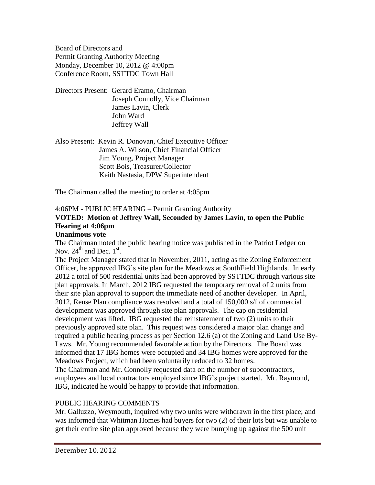Board of Directors and Permit Granting Authority Meeting Monday, December 10, 2012 @ 4:00pm Conference Room, SSTTDC Town Hall

Directors Present: Gerard Eramo, Chairman Joseph Connolly, Vice Chairman James Lavin, Clerk John Ward Jeffrey Wall

Also Present: Kevin R. Donovan, Chief Executive Officer James A. Wilson, Chief Financial Officer Jim Young, Project Manager Scott Bois, Treasurer/Collector Keith Nastasia, DPW Superintendent

The Chairman called the meeting to order at 4:05pm

# 4:06PM - PUBLIC HEARING – Permit Granting Authority **VOTED: Motion of Jeffrey Wall, Seconded by James Lavin, to open the Public Hearing at 4:06pm**

### **Unanimous vote**

The Chairman noted the public hearing notice was published in the Patriot Ledger on Nov.  $24^{\text{th}}$  and Dec.  $1^{\text{st}}$ .

The Project Manager stated that in November, 2011, acting as the Zoning Enforcement Officer, he approved IBG's site plan for the Meadows at SouthField Highlands. In early 2012 a total of 500 residential units had been approved by SSTTDC through various site plan approvals. In March, 2012 IBG requested the temporary removal of 2 units from their site plan approval to support the immediate need of another developer. In April, 2012, Reuse Plan compliance was resolved and a total of 150,000 s/f of commercial development was approved through site plan approvals. The cap on residential development was lifted. IBG requested the reinstatement of two (2) units to their previously approved site plan. This request was considered a major plan change and required a public hearing process as per Section 12.6 (a) of the Zoning and Land Use By-Laws. Mr. Young recommended favorable action by the Directors. The Board was informed that 17 IBG homes were occupied and 34 IBG homes were approved for the Meadows Project, which had been voluntarily reduced to 32 homes. The Chairman and Mr. Connolly requested data on the number of subcontractors, employees and local contractors employed since IBG's project started. Mr. Raymond, IBG, indicated he would be happy to provide that information.

### PUBLIC HEARING COMMENTS

Mr. Galluzzo, Weymouth, inquired why two units were withdrawn in the first place; and was informed that Whitman Homes had buyers for two (2) of their lots but was unable to get their entire site plan approved because they were bumping up against the 500 unit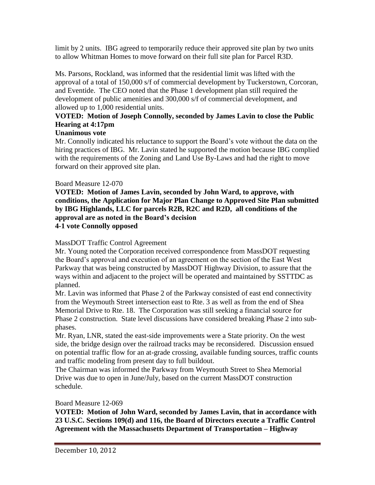limit by 2 units. IBG agreed to temporarily reduce their approved site plan by two units to allow Whitman Homes to move forward on their full site plan for Parcel R3D.

Ms. Parsons, Rockland, was informed that the residential limit was lifted with the approval of a total of 150,000 s/f of commercial development by Tuckerstown, Corcoran, and Eventide. The CEO noted that the Phase 1 development plan still required the development of public amenities and 300,000 s/f of commercial development, and allowed up to 1,000 residential units.

# **VOTED: Motion of Joseph Connolly, seconded by James Lavin to close the Public Hearing at 4:17pm**

# **Unanimous vote**

Mr. Connolly indicated his reluctance to support the Board's vote without the data on the hiring practices of IBG. Mr. Lavin stated he supported the motion because IBG complied with the requirements of the Zoning and Land Use By-Laws and had the right to move forward on their approved site plan.

# Board Measure 12-070

**VOTED: Motion of James Lavin, seconded by John Ward, to approve, with conditions, the Application for Major Plan Change to Approved Site Plan submitted by IBG Highlands, LLC for parcels R2B, R2C and R2D, all conditions of the approval are as noted in the Board's decision 4-1 vote Connolly opposed**

# MassDOT Traffic Control Agreement

Mr. Young noted the Corporation received correspondence from MassDOT requesting the Board's approval and execution of an agreement on the section of the East West Parkway that was being constructed by MassDOT Highway Division, to assure that the ways within and adjacent to the project will be operated and maintained by SSTTDC as planned.

Mr. Lavin was informed that Phase 2 of the Parkway consisted of east end connectivity from the Weymouth Street intersection east to Rte. 3 as well as from the end of Shea Memorial Drive to Rte. 18. The Corporation was still seeking a financial source for Phase 2 construction. State level discussions have considered breaking Phase 2 into subphases.

Mr. Ryan, LNR, stated the east-side improvements were a State priority. On the west side, the bridge design over the railroad tracks may be reconsidered. Discussion ensued on potential traffic flow for an at-grade crossing, available funding sources, traffic counts and traffic modeling from present day to full buildout.

The Chairman was informed the Parkway from Weymouth Street to Shea Memorial Drive was due to open in June/July, based on the current MassDOT construction schedule.

# Board Measure 12-069

**VOTED: Motion of John Ward, seconded by James Lavin, that in accordance with 23 U.S.C. Sections 109(d) and 116, the Board of Directors execute a Traffic Control Agreement with the Massachusetts Department of Transportation – Highway**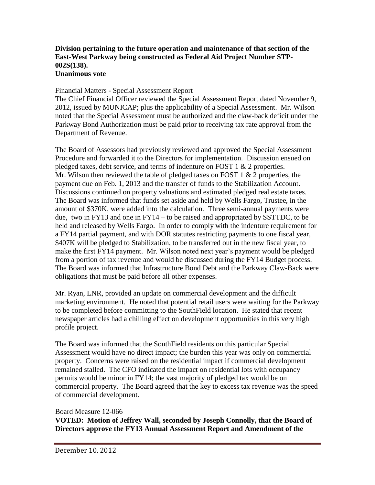#### **Division pertaining to the future operation and maintenance of that section of the East-West Parkway being constructed as Federal Aid Project Number STP-002S(138). Unanimous vote**

#### Financial Matters - Special Assessment Report

The Chief Financial Officer reviewed the Special Assessment Report dated November 9, 2012, issued by MUNICAP; plus the applicability of a Special Assessment. Mr. Wilson noted that the Special Assessment must be authorized and the claw-back deficit under the Parkway Bond Authorization must be paid prior to receiving tax rate approval from the Department of Revenue.

The Board of Assessors had previously reviewed and approved the Special Assessment Procedure and forwarded it to the Directors for implementation. Discussion ensued on pledged taxes, debt service, and terms of indenture on FOST 1 & 2 properties. Mr. Wilson then reviewed the table of pledged taxes on FOST  $1 \& 2$  properties, the payment due on Feb. 1, 2013 and the transfer of funds to the Stabilization Account. Discussions continued on property valuations and estimated pledged real estate taxes. The Board was informed that funds set aside and held by Wells Fargo, Trustee, in the amount of \$370K, were added into the calculation. Three semi-annual payments were due, two in FY13 and one in FY14 – to be raised and appropriated by SSTTDC, to be held and released by Wells Fargo. In order to comply with the indenture requirement for a FY14 partial payment, and with DOR statutes restricting payments to one fiscal year, \$407K will be pledged to Stabilization, to be transferred out in the new fiscal year, to make the first FY14 payment. Mr. Wilson noted next year's payment would be pledged from a portion of tax revenue and would be discussed during the FY14 Budget process. The Board was informed that Infrastructure Bond Debt and the Parkway Claw-Back were obligations that must be paid before all other expenses.

Mr. Ryan, LNR, provided an update on commercial development and the difficult marketing environment. He noted that potential retail users were waiting for the Parkway to be completed before committing to the SouthField location. He stated that recent newspaper articles had a chilling effect on development opportunities in this very high profile project.

The Board was informed that the SouthField residents on this particular Special Assessment would have no direct impact; the burden this year was only on commercial property. Concerns were raised on the residential impact if commercial development remained stalled. The CFO indicated the impact on residential lots with occupancy permits would be minor in FY14; the vast majority of pledged tax would be on commercial property. The Board agreed that the key to excess tax revenue was the speed of commercial development.

#### Board Measure 12-066

**VOTED: Motion of Jeffrey Wall, seconded by Joseph Connolly, that the Board of Directors approve the FY13 Annual Assessment Report and Amendment of the**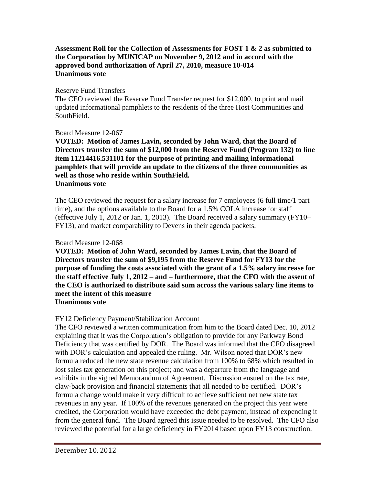### **Assessment Roll for the Collection of Assessments for FOST 1 & 2 as submitted to the Corporation by MUNICAP on November 9, 2012 and in accord with the approved bond authorization of April 27, 2010, measure 10-014 Unanimous vote**

### Reserve Fund Transfers

The CEO reviewed the Reserve Fund Transfer request for \$12,000, to print and mail updated informational pamphlets to the residents of the three Host Communities and SouthField.

### Board Measure 12-067

**VOTED: Motion of James Lavin, seconded by John Ward, that the Board of Directors transfer the sum of \$12,000 from the Reserve Fund (Program 132) to line item 11214416.531101 for the purpose of printing and mailing informational pamphlets that will provide an update to the citizens of the three communities as well as those who reside within SouthField. Unanimous vote**

The CEO reviewed the request for a salary increase for 7 employees (6 full time/1 part time), and the options available to the Board for a 1.5% COLA increase for staff (effective July 1, 2012 or Jan. 1, 2013). The Board received a salary summary (FY10– FY13), and market comparability to Devens in their agenda packets.

### Board Measure 12-068

**VOTED: Motion of John Ward, seconded by James Lavin, that the Board of Directors transfer the sum of \$9,195 from the Reserve Fund for FY13 for the purpose of funding the costs associated with the grant of a 1.5% salary increase for the staff effective July 1, 2012 – and – furthermore, that the CFO with the assent of the CEO is authorized to distribute said sum across the various salary line items to meet the intent of this measure**

## **Unanimous vote**

# FY12 Deficiency Payment/Stabilization Account

The CFO reviewed a written communication from him to the Board dated Dec. 10, 2012 explaining that it was the Corporation's obligation to provide for any Parkway Bond Deficiency that was certified by DOR. The Board was informed that the CFO disagreed with DOR's calculation and appealed the ruling. Mr. Wilson noted that DOR's new formula reduced the new state revenue calculation from 100% to 68% which resulted in lost sales tax generation on this project; and was a departure from the language and exhibits in the signed Memorandum of Agreement. Discussion ensued on the tax rate, claw-back provision and financial statements that all needed to be certified. DOR's formula change would make it very difficult to achieve sufficient net new state tax revenues in any year. If 100% of the revenues generated on the project this year were credited, the Corporation would have exceeded the debt payment, instead of expending it from the general fund. The Board agreed this issue needed to be resolved. The CFO also reviewed the potential for a large deficiency in FY2014 based upon FY13 construction.